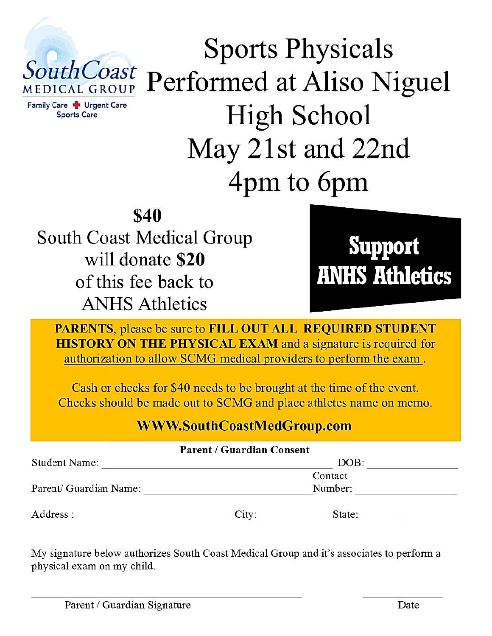## **Sports Physicals SouthCoast** Performed at Aliso Niguel MEDICAL GROUP Family Care Virgent Care **High School Sports Care** May 21st and 22nd 4pm to 6pm

# **\$40**

South Coast Medical Group will donate \$20 of this fee back to **ANHS Athletics** 



**PARENTS, please be sure to FILL OUT ALL REQUIRED STUDENT HISTORY ON THE PHYSICAL EXAM** and a signature is required for authorization to allow SCMG medical providers to perform the exam.

Cash or checks for \$40 needs to be brought at the time of the event. Checks should be made out to SCMG and place athletes name on memo.

### **WWW.SouthCoastMedGroup.com**

|                        | <b>Parent / Guardian Consent</b> |
|------------------------|----------------------------------|
| Student Name:          | DOB:                             |
|                        | Contact                          |
| Parent/ Guardian Name: | Number:                          |
| Address :              | State:<br>City:                  |

My signature below authorizes South Coast Medical Group and it's associates to perform a physical exam on my child.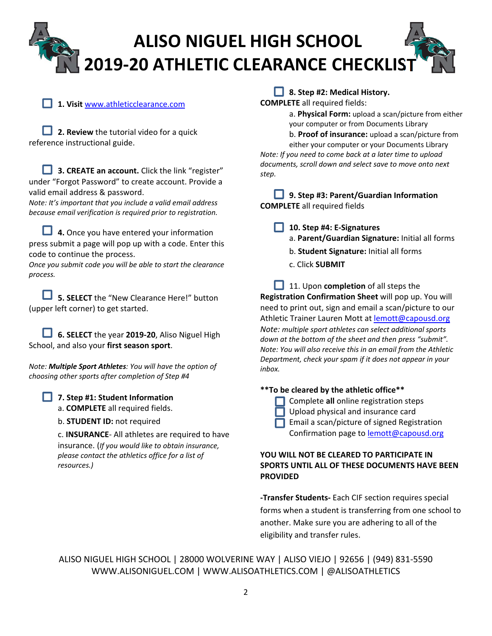# **ALISO NIGUEL HIGH SCHOOL 2019-20 ATHLETIC CLEARANCE CHECKLIS**

**1. Visit** www.athleticclearance.com

**2. Review** the tutorial video for a quick reference instructional guide.

**3. CREATE an account.** Click the link "register" under "Forgot Password" to create account. Provide a valid email address & password.

*Note: It's important that you include a valid email address because email verification is required prior to registration.* 

**4.** Once you have entered your information press submit a page will pop up with a code. Enter this code to continue the process.

*Once you submit code you will be able to start the clearance process.* 

**5. SELECT** the "New Clearance Here!" button (upper left corner) to get started.

**6. SELECT** the year **2019‐20**, Aliso Niguel High School, and also your **first season sport**.

*Note: Multiple Sport Athletes: You will have the option of choosing other sports after completion of Step #4*

**7. Step #1: Student Information**

- a. **COMPLETE** all required fields.
- b. **STUDENT ID:** not required

c. **INSURANCE**‐ All athletes are required to have insurance. (*If you would like to obtain insurance, please contact the athletics office for a list of resources.)*

#### **8. Step #2: Medical History.**

**COMPLETE** all required fields:

a. **Physical Form:** upload a scan/picture from either your computer or from Documents Library

b. **Proof of insurance:** upload a scan/picture from

either your computer or your Documents Library *Note: If you need to come back at a later time to upload documents, scroll down and select save to move onto next step.*

**9. Step #3: Parent/Guardian Information COMPLETE** all required fields

**10. Step #4: E‐Signatures**

- a. **Parent/Guardian Signature:** Initial all forms
- b. **Student Signature:** Initial all forms
- c. Click **SUBMIT**

11. Upon **completion** of all steps the **Registration Confirmation Sheet** will pop up. You will need to print out, sign and email a scan/picture to our Athletic Trainer Lauren Mott at lemott@capousd.org *Note: multiple sport athletes can select additional sports down at the bottom of the sheet and then press "submit". Note: You will also receive this in an email from the Athletic Department, check your spam if it does not appear in your inbox.*

#### **\*\*To be cleared by the athletic office\*\***

| Complete all online registration steps |
|----------------------------------------|
|                                        |

- Upload physical and insurance card
- Email a scan/picture of signed Registration Confirmation page to **lemott@capousd.org**

#### **YOU WILL NOT BE CLEARED TO PARTICIPATE IN SPORTS UNTIL ALL OF THESE DOCUMENTS HAVE BEEN PROVIDED**

**‐Transfer Students‐** Each CIF section requires special forms when a student is transferring from one school to another. Make sure you are adhering to all of the eligibility and transfer rules.

ALISO NIGUEL HIGH SCHOOL | 28000 WOLVERINE WAY | ALISO VIEJO | 92656 | (949) 831‐5590 WWW.ALISONIGUEL.COM | WWW.ALISOATHLETICS.COM | @ALISOATHLETICS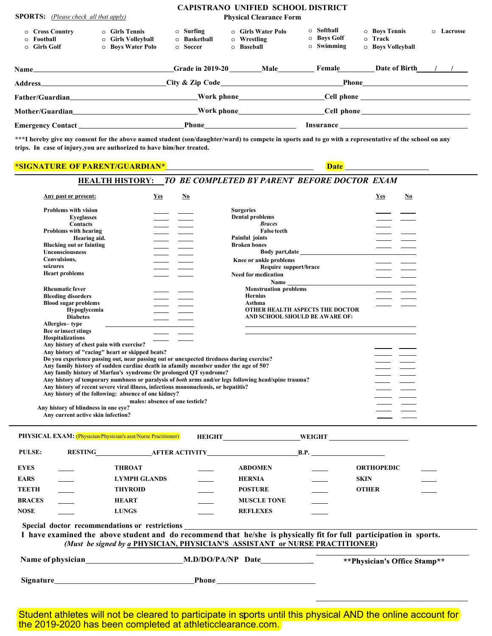| <b>SPORTS:</b> (Please check all that apply)              |                                                                               |                                                                                                                                                                                                                                              | <b>Physical Clearance Form</b>                              |                                                           |                                                             |                   |
|-----------------------------------------------------------|-------------------------------------------------------------------------------|----------------------------------------------------------------------------------------------------------------------------------------------------------------------------------------------------------------------------------------------|-------------------------------------------------------------|-----------------------------------------------------------|-------------------------------------------------------------|-------------------|
| ○ Cross Country<br>$\circ$ Football<br>$\circ$ Girls Golf | $\circ$ Girls Tennis<br><b>O</b> Girls Volleyball<br><b>O</b> Boys Water Polo | $\circ$ Surfing<br><b>O</b> Basketball<br>$\circ$ Soccer                                                                                                                                                                                     | ○ Girls Water Polo<br>$\circ$ Wrestling<br>$\circ$ Baseball | $\circ$ Softball<br>$\circ$ Boys Golf<br>$\circ$ Swimming | <b>O</b> Boys Tennis<br>0 Track<br><b>O</b> Boys Volleyball | <b>O</b> Lacrosse |
| Name                                                      |                                                                               | <b>Grade in 2019-20</b>                                                                                                                                                                                                                      | Male                                                        | Female                                                    | Date of Birth                                               |                   |
|                                                           |                                                                               | City & Zip Code                                                                                                                                                                                                                              |                                                             | Phone                                                     |                                                             |                   |
|                                                           |                                                                               |                                                                                                                                                                                                                                              | Work phone                                                  | Cell phone                                                |                                                             |                   |
|                                                           |                                                                               | Work phone<br>Mother/Guardian and the control of the control of the control of the control of the control of the control of the control of the control of the control of the control of the control of the control of the control of the con |                                                             | Cell phone                                                |                                                             |                   |
|                                                           |                                                                               |                                                                                                                                                                                                                                              |                                                             | Insurance                                                 |                                                             |                   |

**CAPISTRANO UNIFIED SCHOOL DISTRICT** 

**\*\*\*I hereby give my consent for the above named student (son/daughter/ward) to compete in sports and to go with a representative of the school on any trips. In case of injury,you are authorized to have him/her treated.**

#### **\*SIGNATURE OF PARENT/GUARDIAN\* Date**

#### **HEALTH HISTORY:** *TO BE COMPLETED BY PARENT BEFORE DOCTOR EXAM*

| <b>Surgeries</b><br><b>Problems with vision</b><br><b>Dental problems</b><br>Eveglasses<br>Contacts<br><b>Braces</b><br><b>Problems with hearing</b><br><b>False teeth</b><br>Painful joints<br>Hearing aid.<br><b>Broken</b> bones<br><b>Blacking out or fainting</b><br>Unconsciousness<br>Convulsions,<br>Knee or ankle problems<br>seizures<br>Require support/brace<br><b>Heart problems</b><br><b>Need for medication</b><br>Name and the same state of the state of the state of the state of the state of the state of the state of the state of the state of the state of the state of the state of the state of the state of the state of the state of<br><b>Menstruation problems</b><br><b>Rheumatic fever</b><br><b>Bleeding disorders</b><br><b>Hernias</b><br>Asthma<br><b>Blood sugar problems</b><br>OTHER HEALTH ASPECTS THE DOCTOR<br>Hypoglycemia<br><b>Diabetes</b><br>AND SCHOOL SHOULD BE AWARE OF:<br>Allergies-type<br><b>Bee or insect stings</b><br><b>Hospitalizations</b><br>Any history of chest pain with exercise?<br>Any history of "racing" heart or skipped beats?<br>Do you experience passing out, near passing out or unexpected tiredness during exercise?<br>Any family history of sudden cardiac death in afamily member under the age of 50?<br>Any family history of Marfan's syndrome Or prolonged QT syndrome?<br>Any history of temporary numbness or paralysis of both arms and/or legs following head/spine trauma?<br>Any history of recent severe viral illness, infectious mononucleosis, or hepatitis?<br>Any history of the following: absence of one kidney?<br>males: absence of one testicle?<br>Any history of blindness in one eye?<br>Any current active skin infection?<br><b>PHYSICAL EXAM:</b> (Physician/Physician's asst/Nurse Practitioner)<br>HEIGHT WEIGHT WEIGHT<br>RESTING AFTER ACTIVITY B.P.<br>PULSE:<br><b>EYES</b><br><b>THROAT</b><br><b>ABDOMEN</b><br><b>ORTHOPEDIC</b><br><b>EARS</b><br><b>LYMPH GLANDS</b><br><b>HERNIA</b><br><b>SKIN</b><br><b>OTHER</b><br><b>TEETH</b><br><b>THYROID</b><br><b>POSTURE</b><br><b>BRACES</b><br><b>HEART</b><br><b>MUSCLE TONE</b><br><b>NOSE</b><br><b>LUNGS</b><br><b>REFLEXES</b><br>Special doctor recommendations or restrictions __________________________________<br>I have examined the above student and do recommend that he/she is physically fit for full participation in sports.<br>(Must be signed by a PHYSICIAN, PHYSICIAN'S ASSISTANT or NURSE PRACTITIONER) | Any past or present: | $Yes$ | $\underline{\mathbf{N}}$ o | $Yes$<br><u>No</u> |  |
|----------------------------------------------------------------------------------------------------------------------------------------------------------------------------------------------------------------------------------------------------------------------------------------------------------------------------------------------------------------------------------------------------------------------------------------------------------------------------------------------------------------------------------------------------------------------------------------------------------------------------------------------------------------------------------------------------------------------------------------------------------------------------------------------------------------------------------------------------------------------------------------------------------------------------------------------------------------------------------------------------------------------------------------------------------------------------------------------------------------------------------------------------------------------------------------------------------------------------------------------------------------------------------------------------------------------------------------------------------------------------------------------------------------------------------------------------------------------------------------------------------------------------------------------------------------------------------------------------------------------------------------------------------------------------------------------------------------------------------------------------------------------------------------------------------------------------------------------------------------------------------------------------------------------------------------------------------------------------------------------------------------------------------------------------------------------------------------------------------------------------------------------------------------------------------------------------------------------------------------------------------------------------------------------------------------------------------------------------------------------------------------------------------------------------------------------------------------------------------------------------|----------------------|-------|----------------------------|--------------------|--|
|                                                                                                                                                                                                                                                                                                                                                                                                                                                                                                                                                                                                                                                                                                                                                                                                                                                                                                                                                                                                                                                                                                                                                                                                                                                                                                                                                                                                                                                                                                                                                                                                                                                                                                                                                                                                                                                                                                                                                                                                                                                                                                                                                                                                                                                                                                                                                                                                                                                                                                    |                      |       |                            |                    |  |
|                                                                                                                                                                                                                                                                                                                                                                                                                                                                                                                                                                                                                                                                                                                                                                                                                                                                                                                                                                                                                                                                                                                                                                                                                                                                                                                                                                                                                                                                                                                                                                                                                                                                                                                                                                                                                                                                                                                                                                                                                                                                                                                                                                                                                                                                                                                                                                                                                                                                                                    |                      |       |                            |                    |  |
|                                                                                                                                                                                                                                                                                                                                                                                                                                                                                                                                                                                                                                                                                                                                                                                                                                                                                                                                                                                                                                                                                                                                                                                                                                                                                                                                                                                                                                                                                                                                                                                                                                                                                                                                                                                                                                                                                                                                                                                                                                                                                                                                                                                                                                                                                                                                                                                                                                                                                                    |                      |       |                            |                    |  |
|                                                                                                                                                                                                                                                                                                                                                                                                                                                                                                                                                                                                                                                                                                                                                                                                                                                                                                                                                                                                                                                                                                                                                                                                                                                                                                                                                                                                                                                                                                                                                                                                                                                                                                                                                                                                                                                                                                                                                                                                                                                                                                                                                                                                                                                                                                                                                                                                                                                                                                    |                      |       |                            |                    |  |
|                                                                                                                                                                                                                                                                                                                                                                                                                                                                                                                                                                                                                                                                                                                                                                                                                                                                                                                                                                                                                                                                                                                                                                                                                                                                                                                                                                                                                                                                                                                                                                                                                                                                                                                                                                                                                                                                                                                                                                                                                                                                                                                                                                                                                                                                                                                                                                                                                                                                                                    |                      |       |                            |                    |  |
|                                                                                                                                                                                                                                                                                                                                                                                                                                                                                                                                                                                                                                                                                                                                                                                                                                                                                                                                                                                                                                                                                                                                                                                                                                                                                                                                                                                                                                                                                                                                                                                                                                                                                                                                                                                                                                                                                                                                                                                                                                                                                                                                                                                                                                                                                                                                                                                                                                                                                                    |                      |       |                            |                    |  |
|                                                                                                                                                                                                                                                                                                                                                                                                                                                                                                                                                                                                                                                                                                                                                                                                                                                                                                                                                                                                                                                                                                                                                                                                                                                                                                                                                                                                                                                                                                                                                                                                                                                                                                                                                                                                                                                                                                                                                                                                                                                                                                                                                                                                                                                                                                                                                                                                                                                                                                    |                      |       |                            |                    |  |
|                                                                                                                                                                                                                                                                                                                                                                                                                                                                                                                                                                                                                                                                                                                                                                                                                                                                                                                                                                                                                                                                                                                                                                                                                                                                                                                                                                                                                                                                                                                                                                                                                                                                                                                                                                                                                                                                                                                                                                                                                                                                                                                                                                                                                                                                                                                                                                                                                                                                                                    |                      |       |                            |                    |  |
|                                                                                                                                                                                                                                                                                                                                                                                                                                                                                                                                                                                                                                                                                                                                                                                                                                                                                                                                                                                                                                                                                                                                                                                                                                                                                                                                                                                                                                                                                                                                                                                                                                                                                                                                                                                                                                                                                                                                                                                                                                                                                                                                                                                                                                                                                                                                                                                                                                                                                                    |                      |       |                            |                    |  |
|                                                                                                                                                                                                                                                                                                                                                                                                                                                                                                                                                                                                                                                                                                                                                                                                                                                                                                                                                                                                                                                                                                                                                                                                                                                                                                                                                                                                                                                                                                                                                                                                                                                                                                                                                                                                                                                                                                                                                                                                                                                                                                                                                                                                                                                                                                                                                                                                                                                                                                    |                      |       |                            |                    |  |
|                                                                                                                                                                                                                                                                                                                                                                                                                                                                                                                                                                                                                                                                                                                                                                                                                                                                                                                                                                                                                                                                                                                                                                                                                                                                                                                                                                                                                                                                                                                                                                                                                                                                                                                                                                                                                                                                                                                                                                                                                                                                                                                                                                                                                                                                                                                                                                                                                                                                                                    |                      |       |                            |                    |  |
|                                                                                                                                                                                                                                                                                                                                                                                                                                                                                                                                                                                                                                                                                                                                                                                                                                                                                                                                                                                                                                                                                                                                                                                                                                                                                                                                                                                                                                                                                                                                                                                                                                                                                                                                                                                                                                                                                                                                                                                                                                                                                                                                                                                                                                                                                                                                                                                                                                                                                                    |                      |       |                            |                    |  |
|                                                                                                                                                                                                                                                                                                                                                                                                                                                                                                                                                                                                                                                                                                                                                                                                                                                                                                                                                                                                                                                                                                                                                                                                                                                                                                                                                                                                                                                                                                                                                                                                                                                                                                                                                                                                                                                                                                                                                                                                                                                                                                                                                                                                                                                                                                                                                                                                                                                                                                    |                      |       |                            |                    |  |
|                                                                                                                                                                                                                                                                                                                                                                                                                                                                                                                                                                                                                                                                                                                                                                                                                                                                                                                                                                                                                                                                                                                                                                                                                                                                                                                                                                                                                                                                                                                                                                                                                                                                                                                                                                                                                                                                                                                                                                                                                                                                                                                                                                                                                                                                                                                                                                                                                                                                                                    |                      |       |                            |                    |  |
|                                                                                                                                                                                                                                                                                                                                                                                                                                                                                                                                                                                                                                                                                                                                                                                                                                                                                                                                                                                                                                                                                                                                                                                                                                                                                                                                                                                                                                                                                                                                                                                                                                                                                                                                                                                                                                                                                                                                                                                                                                                                                                                                                                                                                                                                                                                                                                                                                                                                                                    |                      |       |                            |                    |  |
|                                                                                                                                                                                                                                                                                                                                                                                                                                                                                                                                                                                                                                                                                                                                                                                                                                                                                                                                                                                                                                                                                                                                                                                                                                                                                                                                                                                                                                                                                                                                                                                                                                                                                                                                                                                                                                                                                                                                                                                                                                                                                                                                                                                                                                                                                                                                                                                                                                                                                                    |                      |       |                            |                    |  |
|                                                                                                                                                                                                                                                                                                                                                                                                                                                                                                                                                                                                                                                                                                                                                                                                                                                                                                                                                                                                                                                                                                                                                                                                                                                                                                                                                                                                                                                                                                                                                                                                                                                                                                                                                                                                                                                                                                                                                                                                                                                                                                                                                                                                                                                                                                                                                                                                                                                                                                    |                      |       |                            |                    |  |
|                                                                                                                                                                                                                                                                                                                                                                                                                                                                                                                                                                                                                                                                                                                                                                                                                                                                                                                                                                                                                                                                                                                                                                                                                                                                                                                                                                                                                                                                                                                                                                                                                                                                                                                                                                                                                                                                                                                                                                                                                                                                                                                                                                                                                                                                                                                                                                                                                                                                                                    |                      |       |                            |                    |  |
|                                                                                                                                                                                                                                                                                                                                                                                                                                                                                                                                                                                                                                                                                                                                                                                                                                                                                                                                                                                                                                                                                                                                                                                                                                                                                                                                                                                                                                                                                                                                                                                                                                                                                                                                                                                                                                                                                                                                                                                                                                                                                                                                                                                                                                                                                                                                                                                                                                                                                                    |                      |       |                            |                    |  |
|                                                                                                                                                                                                                                                                                                                                                                                                                                                                                                                                                                                                                                                                                                                                                                                                                                                                                                                                                                                                                                                                                                                                                                                                                                                                                                                                                                                                                                                                                                                                                                                                                                                                                                                                                                                                                                                                                                                                                                                                                                                                                                                                                                                                                                                                                                                                                                                                                                                                                                    |                      |       |                            |                    |  |
|                                                                                                                                                                                                                                                                                                                                                                                                                                                                                                                                                                                                                                                                                                                                                                                                                                                                                                                                                                                                                                                                                                                                                                                                                                                                                                                                                                                                                                                                                                                                                                                                                                                                                                                                                                                                                                                                                                                                                                                                                                                                                                                                                                                                                                                                                                                                                                                                                                                                                                    |                      |       |                            |                    |  |
|                                                                                                                                                                                                                                                                                                                                                                                                                                                                                                                                                                                                                                                                                                                                                                                                                                                                                                                                                                                                                                                                                                                                                                                                                                                                                                                                                                                                                                                                                                                                                                                                                                                                                                                                                                                                                                                                                                                                                                                                                                                                                                                                                                                                                                                                                                                                                                                                                                                                                                    |                      |       |                            |                    |  |
|                                                                                                                                                                                                                                                                                                                                                                                                                                                                                                                                                                                                                                                                                                                                                                                                                                                                                                                                                                                                                                                                                                                                                                                                                                                                                                                                                                                                                                                                                                                                                                                                                                                                                                                                                                                                                                                                                                                                                                                                                                                                                                                                                                                                                                                                                                                                                                                                                                                                                                    |                      |       |                            |                    |  |
|                                                                                                                                                                                                                                                                                                                                                                                                                                                                                                                                                                                                                                                                                                                                                                                                                                                                                                                                                                                                                                                                                                                                                                                                                                                                                                                                                                                                                                                                                                                                                                                                                                                                                                                                                                                                                                                                                                                                                                                                                                                                                                                                                                                                                                                                                                                                                                                                                                                                                                    |                      |       |                            |                    |  |
|                                                                                                                                                                                                                                                                                                                                                                                                                                                                                                                                                                                                                                                                                                                                                                                                                                                                                                                                                                                                                                                                                                                                                                                                                                                                                                                                                                                                                                                                                                                                                                                                                                                                                                                                                                                                                                                                                                                                                                                                                                                                                                                                                                                                                                                                                                                                                                                                                                                                                                    |                      |       |                            |                    |  |
|                                                                                                                                                                                                                                                                                                                                                                                                                                                                                                                                                                                                                                                                                                                                                                                                                                                                                                                                                                                                                                                                                                                                                                                                                                                                                                                                                                                                                                                                                                                                                                                                                                                                                                                                                                                                                                                                                                                                                                                                                                                                                                                                                                                                                                                                                                                                                                                                                                                                                                    |                      |       |                            |                    |  |
|                                                                                                                                                                                                                                                                                                                                                                                                                                                                                                                                                                                                                                                                                                                                                                                                                                                                                                                                                                                                                                                                                                                                                                                                                                                                                                                                                                                                                                                                                                                                                                                                                                                                                                                                                                                                                                                                                                                                                                                                                                                                                                                                                                                                                                                                                                                                                                                                                                                                                                    |                      |       |                            |                    |  |
|                                                                                                                                                                                                                                                                                                                                                                                                                                                                                                                                                                                                                                                                                                                                                                                                                                                                                                                                                                                                                                                                                                                                                                                                                                                                                                                                                                                                                                                                                                                                                                                                                                                                                                                                                                                                                                                                                                                                                                                                                                                                                                                                                                                                                                                                                                                                                                                                                                                                                                    |                      |       |                            |                    |  |
|                                                                                                                                                                                                                                                                                                                                                                                                                                                                                                                                                                                                                                                                                                                                                                                                                                                                                                                                                                                                                                                                                                                                                                                                                                                                                                                                                                                                                                                                                                                                                                                                                                                                                                                                                                                                                                                                                                                                                                                                                                                                                                                                                                                                                                                                                                                                                                                                                                                                                                    |                      |       |                            |                    |  |
|                                                                                                                                                                                                                                                                                                                                                                                                                                                                                                                                                                                                                                                                                                                                                                                                                                                                                                                                                                                                                                                                                                                                                                                                                                                                                                                                                                                                                                                                                                                                                                                                                                                                                                                                                                                                                                                                                                                                                                                                                                                                                                                                                                                                                                                                                                                                                                                                                                                                                                    |                      |       |                            |                    |  |
|                                                                                                                                                                                                                                                                                                                                                                                                                                                                                                                                                                                                                                                                                                                                                                                                                                                                                                                                                                                                                                                                                                                                                                                                                                                                                                                                                                                                                                                                                                                                                                                                                                                                                                                                                                                                                                                                                                                                                                                                                                                                                                                                                                                                                                                                                                                                                                                                                                                                                                    |                      |       |                            |                    |  |
|                                                                                                                                                                                                                                                                                                                                                                                                                                                                                                                                                                                                                                                                                                                                                                                                                                                                                                                                                                                                                                                                                                                                                                                                                                                                                                                                                                                                                                                                                                                                                                                                                                                                                                                                                                                                                                                                                                                                                                                                                                                                                                                                                                                                                                                                                                                                                                                                                                                                                                    |                      |       |                            |                    |  |
|                                                                                                                                                                                                                                                                                                                                                                                                                                                                                                                                                                                                                                                                                                                                                                                                                                                                                                                                                                                                                                                                                                                                                                                                                                                                                                                                                                                                                                                                                                                                                                                                                                                                                                                                                                                                                                                                                                                                                                                                                                                                                                                                                                                                                                                                                                                                                                                                                                                                                                    |                      |       |                            |                    |  |
|                                                                                                                                                                                                                                                                                                                                                                                                                                                                                                                                                                                                                                                                                                                                                                                                                                                                                                                                                                                                                                                                                                                                                                                                                                                                                                                                                                                                                                                                                                                                                                                                                                                                                                                                                                                                                                                                                                                                                                                                                                                                                                                                                                                                                                                                                                                                                                                                                                                                                                    |                      |       |                            |                    |  |
|                                                                                                                                                                                                                                                                                                                                                                                                                                                                                                                                                                                                                                                                                                                                                                                                                                                                                                                                                                                                                                                                                                                                                                                                                                                                                                                                                                                                                                                                                                                                                                                                                                                                                                                                                                                                                                                                                                                                                                                                                                                                                                                                                                                                                                                                                                                                                                                                                                                                                                    |                      |       |                            |                    |  |
|                                                                                                                                                                                                                                                                                                                                                                                                                                                                                                                                                                                                                                                                                                                                                                                                                                                                                                                                                                                                                                                                                                                                                                                                                                                                                                                                                                                                                                                                                                                                                                                                                                                                                                                                                                                                                                                                                                                                                                                                                                                                                                                                                                                                                                                                                                                                                                                                                                                                                                    |                      |       |                            |                    |  |
|                                                                                                                                                                                                                                                                                                                                                                                                                                                                                                                                                                                                                                                                                                                                                                                                                                                                                                                                                                                                                                                                                                                                                                                                                                                                                                                                                                                                                                                                                                                                                                                                                                                                                                                                                                                                                                                                                                                                                                                                                                                                                                                                                                                                                                                                                                                                                                                                                                                                                                    |                      |       |                            |                    |  |
|                                                                                                                                                                                                                                                                                                                                                                                                                                                                                                                                                                                                                                                                                                                                                                                                                                                                                                                                                                                                                                                                                                                                                                                                                                                                                                                                                                                                                                                                                                                                                                                                                                                                                                                                                                                                                                                                                                                                                                                                                                                                                                                                                                                                                                                                                                                                                                                                                                                                                                    |                      |       |                            |                    |  |
|                                                                                                                                                                                                                                                                                                                                                                                                                                                                                                                                                                                                                                                                                                                                                                                                                                                                                                                                                                                                                                                                                                                                                                                                                                                                                                                                                                                                                                                                                                                                                                                                                                                                                                                                                                                                                                                                                                                                                                                                                                                                                                                                                                                                                                                                                                                                                                                                                                                                                                    |                      |       |                            |                    |  |
|                                                                                                                                                                                                                                                                                                                                                                                                                                                                                                                                                                                                                                                                                                                                                                                                                                                                                                                                                                                                                                                                                                                                                                                                                                                                                                                                                                                                                                                                                                                                                                                                                                                                                                                                                                                                                                                                                                                                                                                                                                                                                                                                                                                                                                                                                                                                                                                                                                                                                                    |                      |       |                            |                    |  |
|                                                                                                                                                                                                                                                                                                                                                                                                                                                                                                                                                                                                                                                                                                                                                                                                                                                                                                                                                                                                                                                                                                                                                                                                                                                                                                                                                                                                                                                                                                                                                                                                                                                                                                                                                                                                                                                                                                                                                                                                                                                                                                                                                                                                                                                                                                                                                                                                                                                                                                    |                      |       |                            |                    |  |
|                                                                                                                                                                                                                                                                                                                                                                                                                                                                                                                                                                                                                                                                                                                                                                                                                                                                                                                                                                                                                                                                                                                                                                                                                                                                                                                                                                                                                                                                                                                                                                                                                                                                                                                                                                                                                                                                                                                                                                                                                                                                                                                                                                                                                                                                                                                                                                                                                                                                                                    |                      |       |                            |                    |  |
|                                                                                                                                                                                                                                                                                                                                                                                                                                                                                                                                                                                                                                                                                                                                                                                                                                                                                                                                                                                                                                                                                                                                                                                                                                                                                                                                                                                                                                                                                                                                                                                                                                                                                                                                                                                                                                                                                                                                                                                                                                                                                                                                                                                                                                                                                                                                                                                                                                                                                                    |                      |       |                            |                    |  |

Student athletes will not be cleared to participate in sports until this physical AND the online account for the 2019-2020 has been completed at athleticclearance.com.